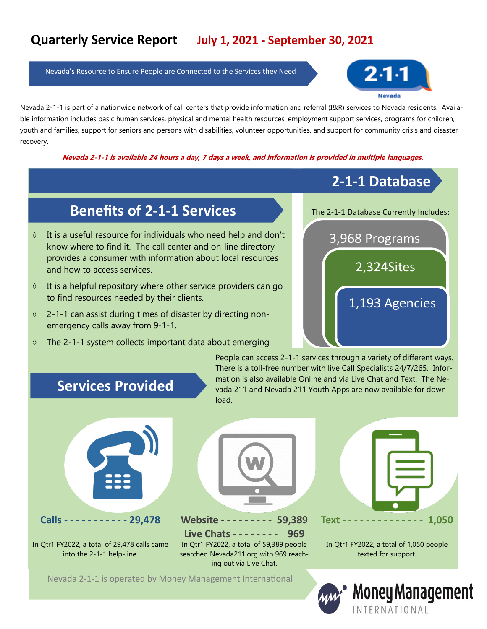Nevada's Resource to Ensure People are Connected to the Services they Need



Nevada 2-1-1 is part of a nationwide network of call centers that provide information and referral (I&R) services to Nevada residents. Available information includes basic human services, physical and mental health resources, employment support services, programs for children, youth and families, support for seniors and persons with disabilities, volunteer opportunities, and support for community crisis and disaster recovery.

**Nevada 2-1-1 is available 24 hours a day, 7 days a week, and information is provided in multiple languages.**

#### **2-1-1 Database**

## **Benefits of 2-1-1 Services**

- $\Diamond$  It is a useful resource for individuals who need help and don't know where to find it. The call center and on-line directory provides a consumer with information about local resources and how to access services.
- $\Diamond$  It is a helpful repository where other service providers can go to find resources needed by their clients.
- 2-1-1 can assist during times of disaster by directing nonemergency calls away from 9-1-1.
- $\Diamond$  The 2-1-1 system collects important data about emerging



# **Services Provided**

People can access 2-1-1 services through a variety of different ways. There is a toll-free number with live Call Specialists 24/7/265. Information is also available Online and via Live Chat and Text. The Nevada 211 and Nevada 211 Youth Apps are now available for download.



In Qtr1 FY2022, a total of 29,478 calls came into the 2-1-1 help-line.



**Calls - - - - - - - - - - - 29,478 Website - - - - - - - - - 59,389 Live Chats - - - - - - - - 969** In Qtr1 FY2022, a total of 59,389 people searched Nevada211.org with 969 reaching out via Live Chat.



In Qtr1 FY2022, a total of 1,050 people texted for support.

Nevada 2-1-1 is operated by Money Management International

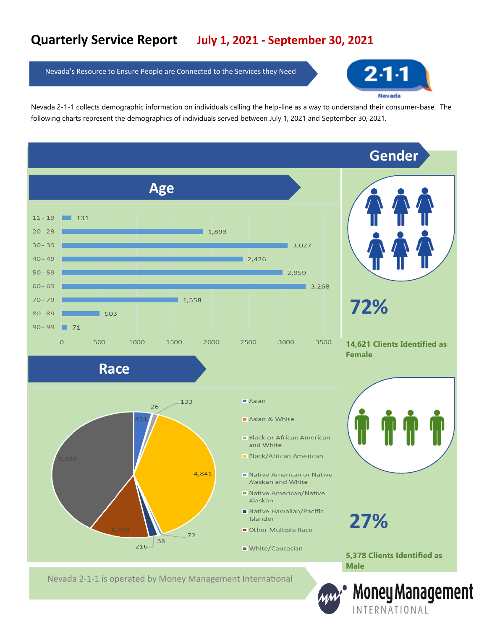Nevada's Resource to Ensure People are Connected to the Services they Need



Nevada 2-1-1 collects demographic information on individuals calling the help-line as a way to understand their consumer-base. The following charts represent the demographics of individuals served between July 1, 2021 and September 30, 2021.

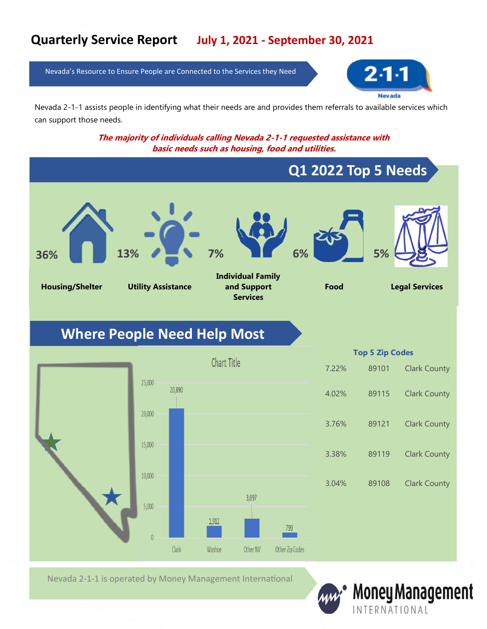Nevada's Resource to Ensure People are Connected to the Services they Need



Nevada 2-1-1 assists people in identifying what their needs are and provides them referrals to available services which can support those needs.

> **The majority of individuals calling Nevada 2-1-1 requested assistance with basic needs such as housing, food and utilities.**



Nevada 2-1-1 is operated by Money Management International